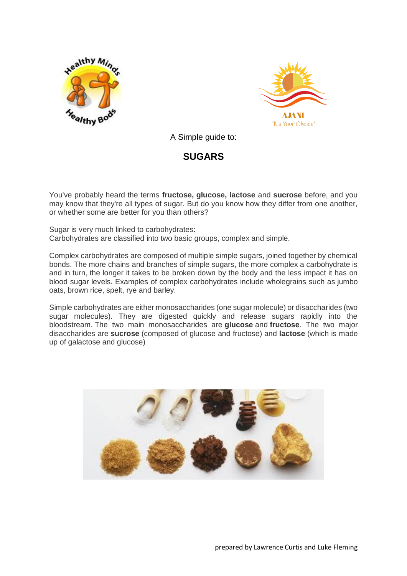



A Simple guide to:

# **SUGARS**

You've probably heard the terms **fructose, glucose, lactose** and **sucrose** before, and you may know that they're all types of sugar. But do you know how they differ from one another, or whether some are better for you than others?

Sugar is very much linked to carbohydrates: Carbohydrates are classified into two basic groups, complex and simple.

Complex carbohydrates are composed of multiple simple sugars, joined together by chemical bonds. The more chains and branches of simple sugars, the more complex a carbohydrate is and in turn, the longer it takes to be broken down by the body and the less impact it has on blood sugar levels. Examples of complex carbohydrates include wholegrains such as jumbo oats, brown rice, spelt, rye and barley.

Simple carbohydrates are either monosaccharides (one sugar molecule) or disaccharides (two sugar molecules). They are digested quickly and release sugars rapidly into the bloodstream. The two main monosaccharides are **glucose** and **fructose**. The two major disaccharides are **sucrose** (composed of glucose and fructose) and **lactose** (which is made up of galactose and glucose)

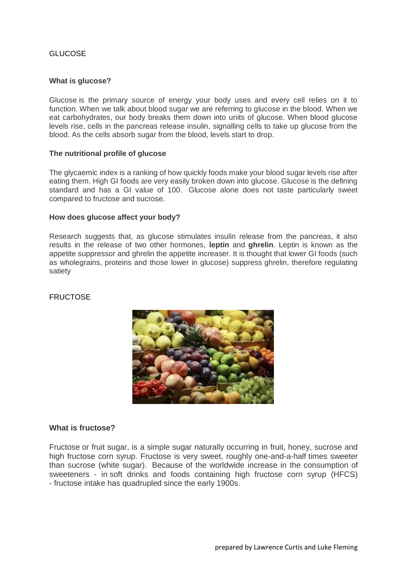## **GLUCOSE**

#### **What is glucose?**

Glucose is the primary source of energy your body uses and every cell relies on it to function. When we talk about blood sugar we are referring to glucose in the blood. When we eat carbohydrates, our body breaks them down into units of glucose. When blood glucose levels rise, cells in the pancreas release insulin, signalling cells to take up glucose from the blood. As the cells absorb sugar from the blood, levels start to drop.

#### **The nutritional profile of glucose**

The glycaemic index is a ranking of how quickly foods make your blood sugar levels rise after eating them. High GI foods are very easily broken down into glucose. Glucose is the defining standard and has a GI value of 100. Glucose alone does not taste particularly sweet compared to fructose and sucrose.

#### **How does glucose affect your body?**

Research suggests that, as glucose stimulates insulin release from the pancreas, it also results in the release of two other hormones, **leptin** and **ghrelin**. Leptin is known as the appetite suppressor and ghrelin the appetite increaser. It is thought that lower GI foods (such as wholegrains, proteins and those lower in glucose) suppress ghrelin, therefore regulating satiety

#### FRUCTOSE



#### **What is fructose?**

Fructose or fruit sugar, is a simple sugar naturally occurring in fruit, honey, sucrose and high fructose corn syrup. Fructose is very sweet, roughly one-and-a-half times sweeter than sucrose (white sugar). Because of the worldwide increase in the consumption of sweeteners - in soft drinks and foods containing high fructose corn syrup (HFCS) - fructose intake has quadrupled since the early 1900s.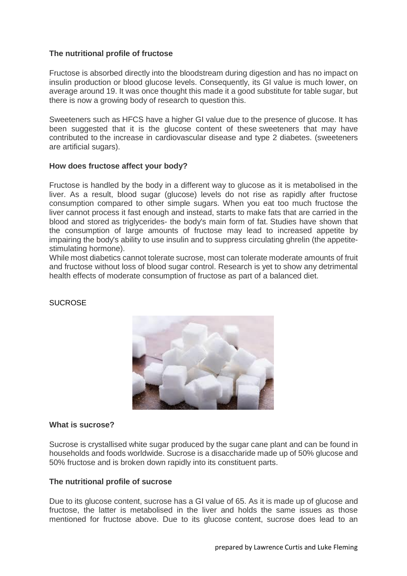## **The nutritional profile of fructose**

Fructose is absorbed directly into the bloodstream during digestion and has no impact on insulin production or blood glucose levels. Consequently, its GI value is much lower, on average around 19. It was once thought this made it a good substitute for table sugar, but there is now a growing body of research to question this.

Sweeteners such as HFCS have a higher GI value due to the presence of glucose. It has been suggested that it is the glucose content of these sweeteners that may have contributed to the increase in cardiovascular disease and type 2 diabetes. (sweeteners are artificial sugars).

## **How does fructose affect your body?**

Fructose is handled by the body in a different way to glucose as it is metabolised in the liver. As a result, blood sugar (glucose) levels do not rise as rapidly after fructose consumption compared to other simple sugars. When you eat too much fructose the liver cannot process it fast enough and instead, starts to make fats that are carried in the blood and stored as triglycerides- the body's main form of fat. Studies have shown that the consumption of large amounts of fructose may lead to increased appetite by impairing the body's ability to use insulin and to suppress circulating ghrelin (the appetitestimulating hormone).

While most diabetics cannot tolerate sucrose, most can tolerate moderate amounts of fruit and fructose without loss of blood sugar control. Research is yet to show any detrimental health effects of moderate consumption of fructose as part of a balanced diet.





#### **What is sucrose?**

Sucrose is crystallised white sugar produced by the sugar cane plant and can be found in households and foods worldwide. Sucrose is a disaccharide made up of 50% glucose and 50% fructose and is broken down rapidly into its constituent parts.

## **The nutritional profile of sucrose**

Due to its glucose content, sucrose has a GI value of 65. As it is made up of glucose and fructose, the latter is metabolised in the liver and holds the same issues as those mentioned for fructose above. Due to its glucose content, sucrose does lead to an